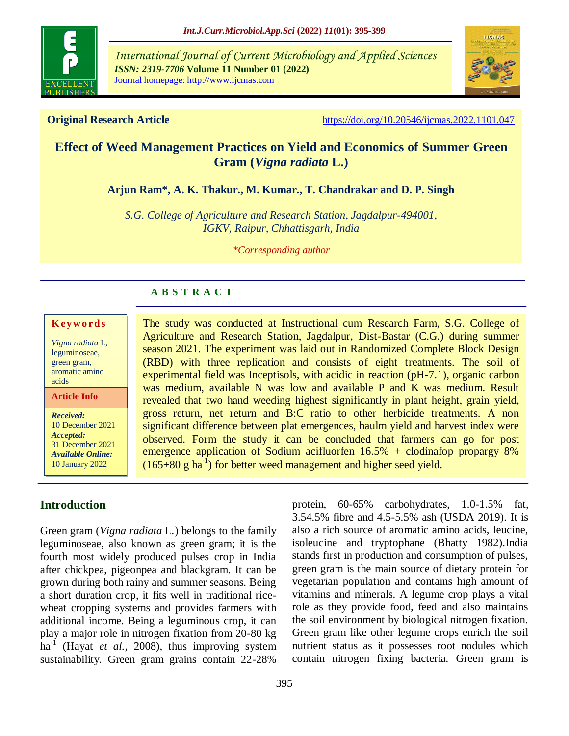

*International Journal of Current Microbiology and Applied Sciences ISSN: 2319-7706* **Volume 11 Number 01 (2022)**  Journal homepage: http://www.ijcmas.com



**Original Research Article** <https://doi.org/10.20546/ijcmas.2022.1101.047>

# **Effect of Weed Management Practices on Yield and Economics of Summer Green Gram (***Vigna radiata* **L.)**

**Arjun Ram\*, A. K. Thakur., M. Kumar., T. Chandrakar and D. P. Singh**

*S.G. College of Agriculture and Research Station, Jagdalpur-494001, IGKV, Raipur, Chhattisgarh, India*

*\*Corresponding author*

The study was conducted at Instructional cum Research Farm, S.G. College of Agriculture and Research Station, Jagdalpur, Dist-Bastar (C.G.) during summer season 2021. The experiment was laid out in Randomized Complete Block Design (RBD) with three replication and consists of eight treatments. The soil of experimental field was Inceptisols, with acidic in reaction (pH-7.1), organic carbon was medium, available N was low and available P and K was medium. Result revealed that two hand weeding highest significantly in plant height, grain yield, gross return, net return and B:C ratio to other herbicide treatments. A non significant difference between plat emergences, haulm yield and harvest index were observed. Form the study it can be concluded that farmers can go for post emergence application of Sodium acifluorfen  $16.5%$  + clodinafop propargy 8%

## **A B S T R A C T**

#### **K ey w o rd s**

*Vigna radiata* L, leguminoseae, green gram, aromatic amino acids

**Article Info**

*Received:*  10 December 2021 *Accepted:*  31 December 2021 *Available Online:* 10 January 2022

## **Introduction**

Green gram (*Vigna radiata* L*.*) belongs to the family leguminoseae, also known as green gram; it is the fourth most widely produced pulses crop in India after chickpea, pigeonpea and blackgram. It can be grown during both rainy and summer seasons. Being a short duration crop, it fits well in traditional ricewheat cropping systems and provides farmers with additional income. Being a leguminous crop, it can play a major role in nitrogen fixation from 20-80 kg ha-1 (Hayat *et al.,* 2008), thus improving system sustainability. Green gram grains contain 22-28%

 $(165+80 \text{ g ha}^{-1})$  for better weed management and higher seed yield.

protein, 60-65% carbohydrates, 1.0-1.5% fat, 3.54.5% fibre and 4.5-5.5% ash (USDA 2019). It is also a rich source of aromatic amino acids, leucine, isoleucine and tryptophane (Bhatty 1982).India stands first in production and consumption of pulses, green gram is the main source of dietary protein for vegetarian population and contains high amount of vitamins and minerals. A legume crop plays a vital role as they provide food, feed and also maintains the soil environment by biological nitrogen fixation. Green gram like other legume crops enrich the soil nutrient status as it possesses root nodules which contain nitrogen fixing bacteria. Green gram is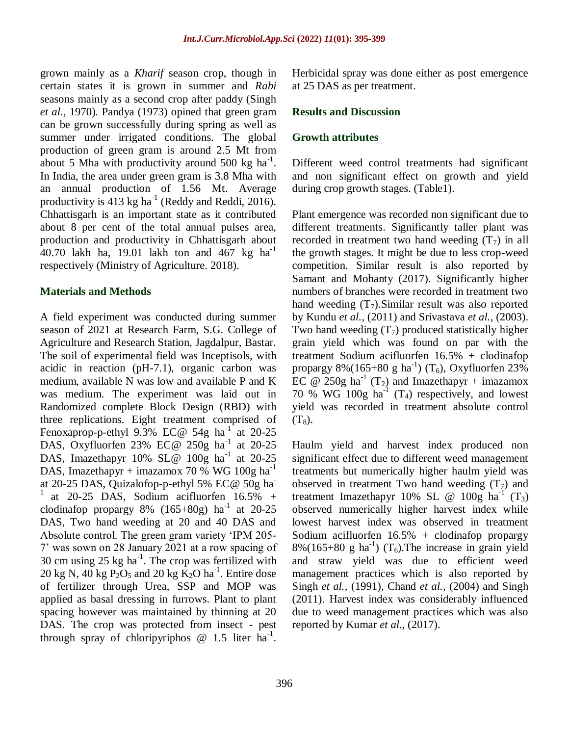grown mainly as a *Kharif* season crop, though in certain states it is grown in summer and *Rabi*  seasons mainly as a second crop after paddy (Singh *et al.,* 1970). Pandya (1973) opined that green gram can be grown successfully during spring as well as summer under irrigated conditions. The global production of green gram is around 2.5 Mt from about 5 Mha with productivity around 500 kg  $\text{ha}^{-1}$ . In India, the area under green gram is 3.8 Mha with an annual production of 1.56 Mt. Average productivity is 413 kg ha<sup>-1</sup> (Reddy and Reddi, 2016). Chhattisgarh is an important state as it contributed about 8 per cent of the total annual pulses area, production and productivity in Chhattisgarh about 40.70 lakh ha, 19.01 lakh ton and 467 kg ha<sup>-1</sup> respectively (Ministry of Agriculture. 2018).

#### **Materials and Methods**

A field experiment was conducted during summer season of 2021 at Research Farm, S.G. College of Agriculture and Research Station, Jagdalpur, Bastar. The soil of experimental field was Inceptisols, with acidic in reaction (pH-7.1), organic carbon was medium, available N was low and available P and K was medium. The experiment was laid out in Randomized complete Block Design (RBD) with three replications. Eight treatment comprised of Fenoxaprop-p-ethyl  $9.3\%$  EC@ 54g ha<sup>-1</sup> at 20-25 DAS, Oxyfluorfen 23% EC@ 250g ha-1 at 20-25 DAS, Imazethapyr  $10\%$  SL@  $100g$  ha<sup>-1</sup> at 20-25 DAS, Imazethapyr + imazamox 70 % WG 100g ha<sup>-1</sup> at 20-25 DAS, Quizalofop-p-ethyl 5% EC@ 50g ha-<sup>1</sup>at 20-25 DAS, Sodium acifluorfen 16.5% + clodinafop propargy  $8\%$  (165+ $80g$ ) ha<sup>-1</sup> at 20-25 DAS, Two hand weeding at 20 and 40 DAS and Absolute control. The green gram variety 'IPM 205- 7' was sown on 28 January 2021 at a row spacing of 30 cm using  $25 \text{ kg} \text{ ha}^{-1}$ . The crop was fertilized with 20 kg N, 40 kg  $P_2O_5$  and 20 kg  $K_2O$  ha<sup>-1</sup>. Entire dose of fertilizer through Urea, SSP and MOP was applied as basal dressing in furrows. Plant to plant spacing however was maintained by thinning at 20 DAS. The crop was protected from insect - pest through spray of chloripyriphos  $\omega$  1.5 liter ha<sup>-1</sup>. Herbicidal spray was done either as post emergence at 25 DAS as per treatment.

#### **Results and Discussion**

#### **Growth attributes**

Different weed control treatments had significant and non significant effect on growth and yield during crop growth stages. (Table1).

Plant emergence was recorded non significant due to different treatments. Significantly taller plant was recorded in treatment two hand weeding  $(T<sub>7</sub>)$  in all the growth stages. It might be due to less crop-weed competition. Similar result is also reported by Samant and Mohanty (2017). Significantly higher numbers of branches were recorded in treatment two hand weeding  $(T_7)$ . Similar result was also reported by Kundu *et al.,* (2011) and Srivastava *et al.,* (2003). Two hand weeding  $(T_7)$  produced statistically higher grain yield which was found on par with the treatment Sodium acifluorfen 16.5% + clodinafop propargy  $8\%$ (165+80 g ha<sup>-1</sup>) (T<sub>6</sub>), Oxyfluorfen 23% EC  $\omega$  250g ha<sup>-1</sup> (T<sub>2</sub>) and Imazethapyr + imazamox 70 % WG 100g  $ha^{-1}$  (T<sub>4</sub>) respectively, and lowest yield was recorded in treatment absolute control  $(T_8)$ .

Haulm yield and harvest index produced non significant effect due to different weed management treatments but numerically higher haulm yield was observed in treatment Two hand weeding  $(T_7)$  and treatment Imazethapyr 10% SL @  $100g$  ha<sup>-1</sup> (T<sub>3</sub>) observed numerically higher harvest index while lowest harvest index was observed in treatment Sodium acifluorfen  $16.5% +$  clodinafop propargy  $8\%(165+80 \text{ g ha}^{-1})$  (T<sub>6</sub>). The increase in grain yield and straw yield was due to efficient weed management practices which is also reported by Singh *et al.,* (1991), Chand *et al.,* (2004) and Singh (2011). Harvest index was considerably influenced due to weed management practices which was also reported by Kumar *et al.*, (2017).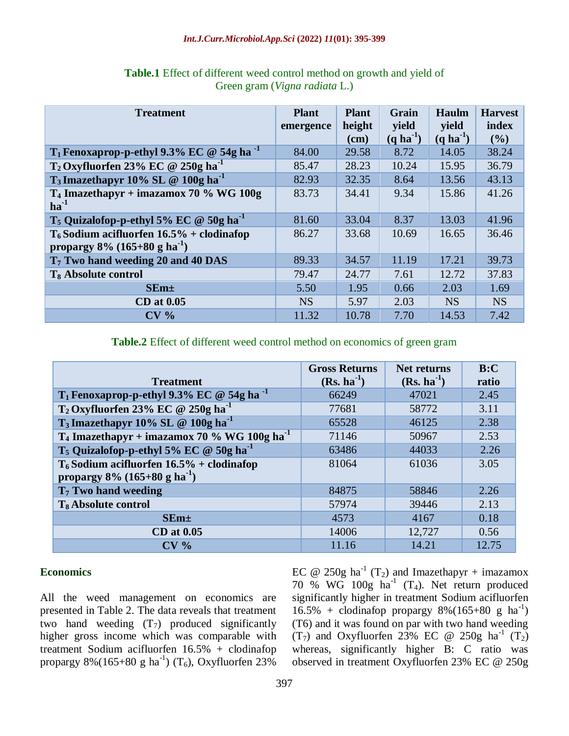#### *Int.J.Curr.Microbiol.App.Sci* **(2022)** *11***(01): 395-399**

| <b>Treatment</b>                                                                           | <b>Plant</b><br>emergence | <b>Plant</b><br>height<br>(cm) | Grain<br>yield<br>$(q \text{ ha}^{-1})$ | Haulm<br>yield<br>$(q \text{ ha}^{-1})$ | <b>Harvest</b><br>index<br>(9/0) |
|--------------------------------------------------------------------------------------------|---------------------------|--------------------------------|-----------------------------------------|-----------------------------------------|----------------------------------|
| $T_1$ Fenoxaprop-p-ethyl 9.3% EC @ 54g ha <sup>-1</sup>                                    | 84.00                     | 29.58                          | 8.72                                    | 14.05                                   | 38.24                            |
| $T_2$ Oxyfluorfen 23% EC @ 250g ha <sup>-1</sup>                                           | 85.47                     | 28.23                          | 10.24                                   | 15.95                                   | 36.79                            |
| $T_3$ Imazethapyr 10% SL @ 100g ha <sup>-1</sup>                                           | 82.93                     | 32.35                          | 8.64                                    | 13.56                                   | 43.13                            |
| $T_4$ Imazethapyr + imazamox 70 % WG 100g<br>$ha^{-1}$                                     | 83.73                     | 34.41                          | 9.34                                    | 15.86                                   | 41.26                            |
| $T_5$ Quizalofop-p-ethyl 5% EC @ 50g ha <sup>-1</sup>                                      | 81.60                     | 33.04                          | 8.37                                    | 13.03                                   | 41.96                            |
| $T_6$ Sodium acifluorfen 16.5% + clodinafop<br>propargy $8\%$ (165+80 g ha <sup>-1</sup> ) | 86.27                     | 33.68                          | 10.69                                   | 16.65                                   | 36.46                            |
| T <sub>7</sub> Two hand weeding 20 and 40 DAS                                              | 89.33                     | 34.57                          | 11.19                                   | 17.21                                   | 39.73                            |
| T <sub>8</sub> Absolute control                                                            | 79.47                     | 24.77                          | 7.61                                    | 12.72                                   | 37.83                            |
| $SEm+$                                                                                     | 5.50                      | 1.95                           | 0.66                                    | 2.03                                    | 1.69                             |
| <b>CD</b> at 0.05                                                                          | <b>NS</b>                 | 5.97                           | 2.03                                    | <b>NS</b>                               | <b>NS</b>                        |
| CV <sub>0</sub>                                                                            | 11.32                     | 10.78                          | 7.70                                    | 14.53                                   | 7.42                             |

## **Table.1** Effect of different weed control method on growth and yield of Green gram (*Vigna radiata* L.)

## **Table.2** Effect of different weed control method on economics of green gram

|                                                                                            | <b>Gross Returns</b> | <b>Net returns</b> | B:C   |
|--------------------------------------------------------------------------------------------|----------------------|--------------------|-------|
| <b>Treatment</b>                                                                           | $(Rs. ha^{-1})$      | $(Rs. ha^{-1})$    | ratio |
| T <sub>1</sub> Fenoxaprop-p-ethyl 9.3% EC @ 54g ha <sup>-1</sup>                           | 66249                | 47021              | 2.45  |
| $T_2$ Oxyfluorfen 23% EC @ 250g ha <sup>-1</sup>                                           | 77681                | 58772              | 3.11  |
| T <sub>3</sub> Imazethapyr 10% SL @ 100g ha <sup>-1</sup>                                  | 65528                | 46125              | 2.38  |
| $T_4$ Imazethapyr + imazamox 70 % WG 100g ha <sup>-1</sup>                                 | 71146                | 50967              | 2.53  |
| T <sub>5</sub> Quizalofop-p-ethyl 5% EC @ 50g ha <sup>-1</sup>                             | 63486                | 44033              | 2.26  |
| $T_6$ Sodium acifluorfen 16.5% + clodinafop<br>propargy $8\%$ (165+80 g ha <sup>-1</sup> ) | 81064                | 61036              | 3.05  |
| $T7$ Two hand weeding                                                                      | 84875                | 58846              | 2.26  |
| T <sub>8</sub> Absolute control                                                            | 57974                | 39446              | 2.13  |
| SEm <sub>±</sub>                                                                           | 4573                 | 4167               | 0.18  |
| $CD$ at $0.05$                                                                             | 14006                | 12,727             | 0.56  |
| CV <sub>0</sub>                                                                            | 11.16                | 14.21              | 12.75 |

## **Economics**

All the weed management on economics are presented in Table 2. The data reveals that treatment two hand weeding  $(T_7)$  produced significantly higher gross income which was comparable with treatment Sodium acifluorfen 16.5% + clodinafop propargy 8%(165+80 g ha<sup>-1</sup>) (T<sub>6</sub>), Oxyfluorfen 23%

EC @ 250g ha<sup>-1</sup> (T<sub>2</sub>) and Imazethapyr + imazamox 70 % WG 100g  $ha^{-1}$  (T<sub>4</sub>). Net return produced significantly higher in treatment Sodium acifluorfen  $16.5\% +$  clodinafop propargy 8%(165+80 g ha<sup>-1</sup>) (T6) and it was found on par with two hand weeding  $(T_7)$  and Oxyfluorfen 23% EC @ 250g ha<sup>-1</sup>  $(T_2)$ whereas, significantly higher B: C ratio was observed in treatment Oxyfluorfen 23% EC @ 250g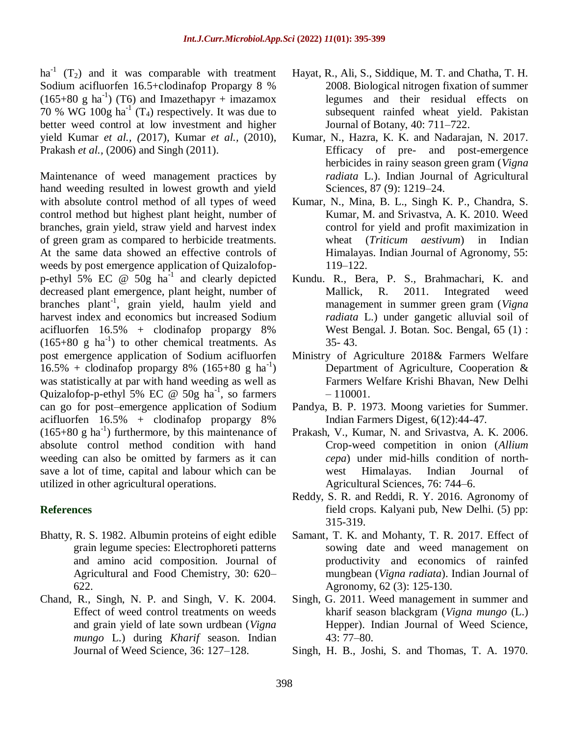ha<sup>-1</sup> (T<sub>2</sub>) and it was comparable with treatment Sodium acifluorfen 16.5+clodinafop Propargy 8 %  $(165+80 \text{ g ha}^{-1})$  (T6) and Imazethapyr + imazamox 70 % WG 100g  $\text{ha}^{-1}$  (T<sub>4</sub>) respectively. It was due to better weed control at low investment and higher yield Kumar *et al., (*2017), Kumar *et al.,* (2010), Prakash *et al.,* (2006) and Singh (2011).

Maintenance of weed management practices by hand weeding resulted in lowest growth and yield with absolute control method of all types of weed control method but highest plant height, number of branches, grain yield, straw yield and harvest index of green gram as compared to herbicide treatments. At the same data showed an effective controls of weeds by post emergence application of Quizalofopp-ethyl 5% EC  $\omega$  50g ha<sup>-1</sup> and clearly depicted decreased plant emergence, plant height, number of branches plant-1 , grain yield, haulm yield and harvest index and economics but increased Sodium acifluorfen 16.5% + clodinafop propargy 8%  $(165+80 \text{ g} \text{ ha}^{-1})$  to other chemical treatments. As post emergence application of Sodium acifluorfen  $16.5\% + \text{clodinafop}$  propargy 8% (165+80 g ha<sup>-1</sup>) was statistically at par with hand weeding as well as Quizalofop-p-ethyl 5% EC @ 50g ha<sup>-1</sup>, so farmers can go for post–emergence application of Sodium acifluorfen 16.5% + clodinafop propargy 8%  $(165+80 \text{ g ha}^{-1})$  furthermore, by this maintenance of absolute control method condition with hand weeding can also be omitted by farmers as it can save a lot of time, capital and labour which can be utilized in other agricultural operations.

### **References**

- Bhatty, R. S. 1982. Albumin proteins of eight edible grain legume species: Electrophoreti patterns and amino acid composition. Journal of Agricultural and Food Chemistry, 30: 620– 622.
- Chand, R., Singh, N. P. and Singh, V. K. 2004. Effect of weed control treatments on weeds and grain yield of late sown urdbean (*Vigna mungo* L.) during *Kharif* season. Indian Journal of Weed Science, 36: 127–128.
- Hayat, R., Ali, S., Siddique, M. T. and Chatha, T. H. 2008. Biological nitrogen fixation of summer legumes and their residual effects on subsequent rainfed wheat yield. Pakistan Journal of Botany, 40: 711–722.
- Kumar, N., Hazra, K. K. and Nadarajan, N. 2017. Efficacy of pre- and post-emergence herbicides in rainy season green gram (*Vigna radiata* L.). Indian Journal of Agricultural Sciences, 87 (9): 1219–24.
- Kumar, N., Mina, B. L., Singh K. P., Chandra, S. Kumar, M. and Srivastva, A. K. 2010. Weed control for yield and profit maximization in wheat (*Triticum aestivum*) in Indian Himalayas. Indian Journal of Agronomy, 55: 119–122.
- Kundu. R., Bera, P. S., Brahmachari, K. and Mallick, R. 2011. Integrated weed management in summer green gram (*Vigna radiata* L.) under gangetic alluvial soil of West Bengal. J. Botan. Soc. Bengal, 65 (1) : 35- 43.
- Ministry of Agriculture 2018& Farmers Welfare Department of Agriculture, Cooperation & Farmers Welfare Krishi Bhavan, New Delhi  $-110001$ .
- Pandya, B. P. 1973. Moong varieties for Summer. Indian Farmers Digest, 6(12):44-47.
- Prakash, V., Kumar, N. and Srivastva, A. K. 2006. Crop-weed competition in onion (*Allium cepa*) under mid-hills condition of northwest Himalayas. Indian Journal of Agricultural Sciences, 76: 744–6.
- Reddy, S. R. and Reddi, R. Y. 2016. Agronomy of field crops. Kalyani pub, New Delhi. (5) pp: 315-319.
- Samant, T. K. and Mohanty, T. R. 2017. Effect of sowing date and weed management on productivity and economics of rainfed mungbean (*Vigna radiata*). Indian Journal of Agronomy, 62 (3): 125-130.
- Singh, G. 2011. Weed management in summer and kharif season blackgram (*Vigna mungo* (L.) Hepper). Indian Journal of Weed Science, 43: 77–80.
- Singh, H. B., Joshi, S. and Thomas, T. A. 1970.